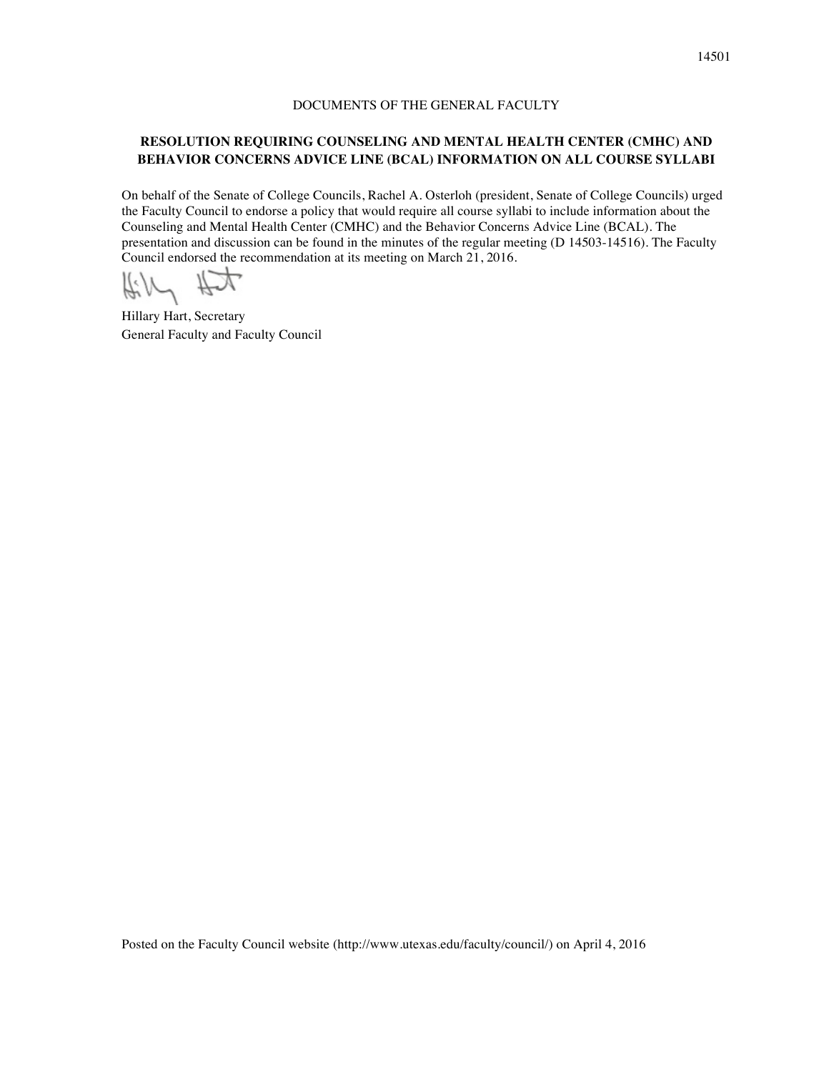## DOCUMENTS OF THE GENERAL FACULTY

## **RESOLUTION REQUIRING COUNSELING AND MENTAL HEALTH CENTER (CMHC) AND BEHAVIOR CONCERNS ADVICE LINE (BCAL) INFORMATION ON ALL COURSE SYLLABI**

On behalf of the Senate of College Councils, Rachel A. Osterloh (president, Senate of College Councils) urged the Faculty Council to endorse a policy that would require all course syllabi to include information about the Counseling and Mental Health Center (CMHC) and the Behavior Concerns Advice Line (BCAL). The presentation and discussion can be found in the minutes of the regular meeting (D 14503-14516). The Faculty Council endorsed the recommendation at its meeting on March 21, 2016.

 $\#W$  #

Hillary Hart, Secretary General Faculty and Faculty Council